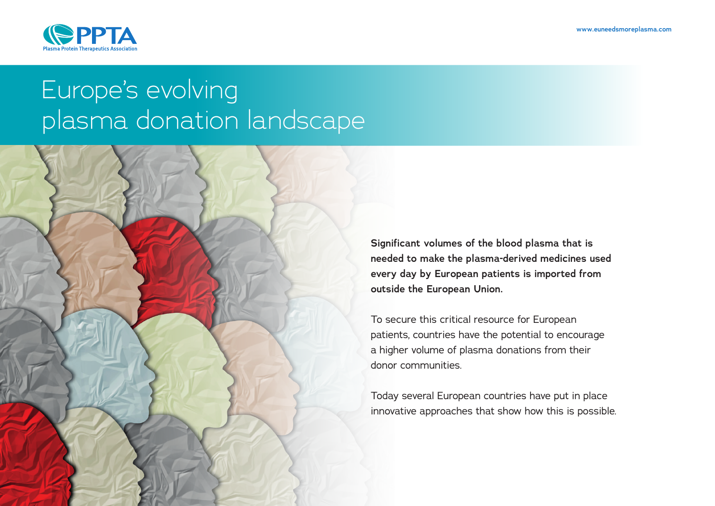

# Europe's evolving plasma donation landscape



**Significant volumes of the blood plasma that is needed to make the plasma-derived medicines used every day by European patients is imported from outside the European Union.**

To secure this critical resource for European patients, countries have the potential to encourage a higher volume of plasma donations from their donor communities.

Today several European countries have put in place innovative approaches that show how this is possible.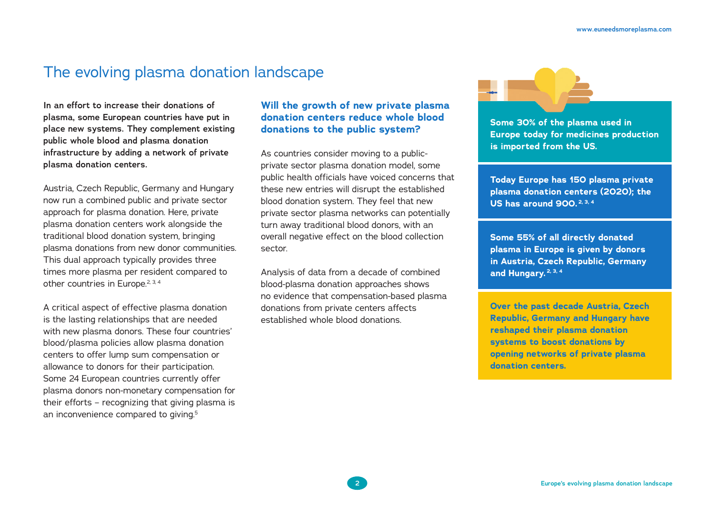## The evolving plasma donation landscape

**In an effort to increase their donations of plasma, some European countries have put in place new systems. They complement existing public whole blood and plasma donation infrastructure by adding a network of private plasma donation centers.** 

Austria, Czech Republic, Germany and Hungary now run a combined public and private sector approach for plasma donation. Here, private plasma donation centers work alongside the traditional blood donation system, bringing plasma donations from new donor communities. This dual approach typically provides three times more plasma per resident compared to other countries in Europe.<sup>2, 3, 4</sup>

A critical aspect of effective plasma donation is the lasting relationships that are needed with new plasma donors. These four countries' blood/plasma policies allow plasma donation centers to offer lump sum compensation or allowance to donors for their participation. Some 24 European countries currently offer plasma donors non-monetary compensation for their efforts – recognizing that giving plasma is an inconvenience compared to giving.<sup>5</sup>

## **Will the growth of new private plasma donation centers reduce whole blood donations to the public system?**

As countries consider moving to a publicprivate sector plasma donation model, some public health officials have voiced concerns that these new entries will disrupt the established blood donation system. They feel that new private sector plasma networks can potentially turn away traditional blood donors, with an overall negative effect on the blood collection sector.

Analysis of data from a decade of combined blood-plasma donation approaches shows no evidence that compensation-based plasma donations from private centers affects established whole blood donations.



**Some 30% of the plasma used in Europe today for medicines production is imported from the US.** 

**Today Europe has 150 plasma private plasma donation centers (2020); the US has around 900. 2, 3, 4**

**Some 55% of all directly donated plasma in Europe is given by donors in Austria, Czech Republic, Germany and Hungary. 2, 3, 4**

**Over the past decade Austria, Czech Republic, Germany and Hungary have reshaped their plasma donation systems to boost donations by opening networks of private plasma donation centers.**